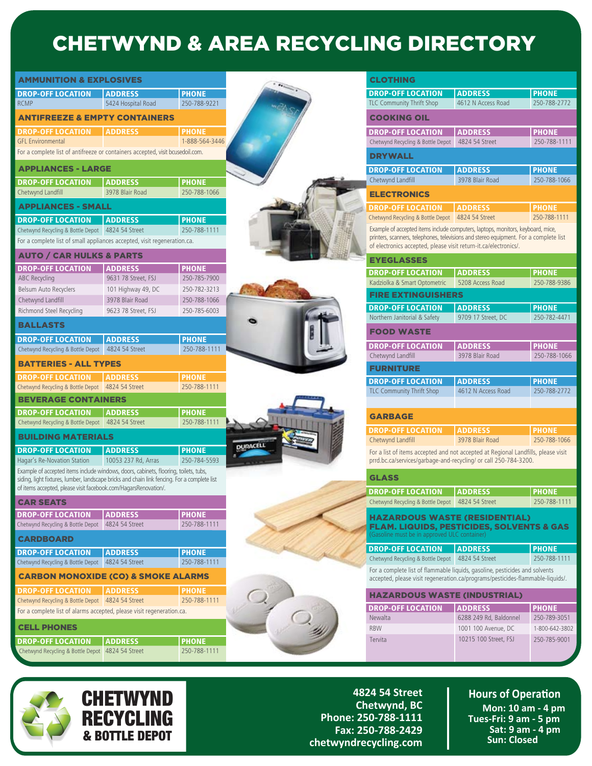## CHETWYND & AREA RECYCLING DIRECTORY

| <b>AMMUNITION &amp; EXPLOSIVES</b> |                                                                                                                                                                 |                              | <b>CLOTHING</b>                                                                                                                                           |                              |
|------------------------------------|-----------------------------------------------------------------------------------------------------------------------------------------------------------------|------------------------------|-----------------------------------------------------------------------------------------------------------------------------------------------------------|------------------------------|
| <b>DROP-OFF LOCATION</b>           | <b>ADDRESS</b>                                                                                                                                                  | <b>PHONE</b>                 | <b>DROP-OFF LOCATION</b><br><b>ADDRESS</b>                                                                                                                | <b>PHONE</b>                 |
|                                    | 5424 Hospital Road                                                                                                                                              | 250-788-9221                 | TLC Community Thrift Shop<br>4612 N Access Road                                                                                                           | 250-788-2772                 |
|                                    | <b>ANTIFREEZE &amp; EMPTY CONTAINERS</b>                                                                                                                        |                              | <b>COOKING OIL</b>                                                                                                                                        |                              |
| <b>DROP-OFF LOCATION</b>           | <b>ADDRESS</b>                                                                                                                                                  | <b>PHONE</b>                 | <b>DROP-OFF LOCATION</b><br><b>ADDRESS</b>                                                                                                                | <b>PHONE</b>                 |
|                                    |                                                                                                                                                                 | 1-888-564-3446               | 4824 54 Street<br>Chetwynd Recycling & Bottle Depot                                                                                                       | 250-788-1111                 |
|                                    | For a complete list of antifreeze or containers accepted, visit bcusedoil.com.                                                                                  |                              | <b>DRYWALL</b>                                                                                                                                            |                              |
|                                    | <b>APPLIANCES - LARGE</b>                                                                                                                                       |                              | <b>DROP-OFF LOCATION</b><br><b>ADDRESS</b>                                                                                                                | <b>PHONE</b>                 |
|                                    | <b>ADDRESS</b>                                                                                                                                                  | <b>PHONE</b>                 | 3978 Blair Road<br>Chetwynd Landfill                                                                                                                      | 250-788-1066                 |
|                                    | 3978 Blair Road                                                                                                                                                 | 250-788-1066                 | <b>ELECTRONICS</b>                                                                                                                                        |                              |
|                                    | <b>APPLIANCES - SMALL</b>                                                                                                                                       |                              | <b>DROP-OFF LOCATION</b><br><b>ADDRESS</b>                                                                                                                | <b>PHONE</b>                 |
|                                    | <b>ADDRESS</b>                                                                                                                                                  | <b>PHONE</b>                 | Chetwynd Recycling & Bottle Depot   4824 54 Street                                                                                                        | 250-788-1111                 |
| <b>DROP-OFF LOCATION</b>           | Chetwynd Recycling & Bottle Depot 4824 54 Street                                                                                                                | 250-788-1111                 | Example of accepted items include computers, laptops, monitors, keyboard, mice,                                                                           |                              |
|                                    | For a complete list of small appliances accepted, visit regeneration.ca.                                                                                        |                              | printers, scanners, telephones, televisions and stereo equipment. For a complete list<br>of electronics accepted, please visit return-it.ca/electronics/. |                              |
|                                    | <b>AUTO / CAR HULKS &amp; PARTS</b>                                                                                                                             |                              | <b>EYEGLASSES</b>                                                                                                                                         |                              |
| <b>DROP-OFF LOCATION</b>           | <b>ADDRESS</b>                                                                                                                                                  | <b>PHONE</b>                 | <b>DROP-OFF LOCATION</b><br><b>ADDRESS</b>                                                                                                                | <b>PHONE</b>                 |
|                                    | 9631 78 Street, FSJ                                                                                                                                             | 250-785-7900                 | Kadziolka & Smart Optometric<br>5208 Access Road                                                                                                          | 250-788-9386                 |
| Belsum Auto Recyclers              | 101 Highway 49, DC                                                                                                                                              | 250-782-3213                 | <b>FIRE EXTINGUISHERS</b>                                                                                                                                 |                              |
|                                    | 3978 Blair Road                                                                                                                                                 | 250-788-1066                 | <b>DROP-OFF LOCATION</b><br><b>ADDRESS</b>                                                                                                                | <b>PHONE</b>                 |
| Richmond Steel Recycling           | 9623 78 Street, FSJ                                                                                                                                             | 250-785-6003                 | Northern Janitorial & Safety<br>9709 17 Street, DC                                                                                                        | 250-782-4471                 |
|                                    |                                                                                                                                                                 |                              | <b>FOOD WASTE</b>                                                                                                                                         |                              |
| <b>DROP-OFF LOCATION</b>           | <b>ADDRESS</b>                                                                                                                                                  | <b>PHONE</b>                 |                                                                                                                                                           |                              |
|                                    | Chetwynd Recycling & Bottle Depot   4824 54 Street                                                                                                              | 250-788-1111                 | <b>DROP-OFF LOCATION</b><br><b>ADDRESS</b><br>Chetwynd Landfill<br>3978 Blair Road                                                                        | <b>PHONE</b><br>250-788-1066 |
| <b>BATTERIES - ALL TYPES</b>       |                                                                                                                                                                 |                              | <b>FURNITURE</b>                                                                                                                                          |                              |
| <b>DROP-OFF LOCATION</b>           | <b>ADDRESS</b>                                                                                                                                                  | <b>PHONE</b>                 | <b>DROP-OFF LOCATION</b><br><b>ADDRESS</b>                                                                                                                | <b>PHONE</b>                 |
|                                    | Chetwynd Recycling & Bottle Depot 4824 54 Street                                                                                                                | 250-788-1111                 | TLC Community Thrift Shop<br>4612 N Access Road                                                                                                           | 250-788-2772                 |
| <b>BEVERAGE CONTAINERS</b>         |                                                                                                                                                                 |                              |                                                                                                                                                           |                              |
| <b>DROP-OFF LOCATION</b>           | <b>ADDRESS</b>                                                                                                                                                  | <b>PHONE</b>                 | <b>GARBAGE</b>                                                                                                                                            |                              |
|                                    | Chetwynd Recycling & Bottle Depot 4824 54 Street                                                                                                                | 250-788-1111                 |                                                                                                                                                           |                              |
| <b>BUILDING MATERIALS</b>          |                                                                                                                                                                 |                              | <b>DROP-OFF LOCATION</b><br><b>ADDRESS</b><br>Chetwynd Landfill<br>3978 Blair Road                                                                        | <b>PHONE</b><br>250-788-1066 |
| <b>DROP-OFF LOCATION</b>           | <b>ADDRESS</b>                                                                                                                                                  | <b>PHONE</b>                 | For a list of items accepted and not accepted at Regional Landfills, please visit                                                                         |                              |
| Hagar's Re-Novation Station        | 10053 237 Rd. Arras                                                                                                                                             | 250-784-5593                 | prrd.bc.ca/services/garbage-and-recycling/ or call 250-784-3200.                                                                                          |                              |
|                                    | Example of accepted items include windows, doors, cabinets, flooring, toilets, tubs,                                                                            |                              |                                                                                                                                                           |                              |
|                                    | siding, light fixtures, lumber, landscape bricks and chain link fencing. For a complete list<br>of items accepted, please visit facebook.com/HagarsRenovation/. |                              | <b>GLASS</b>                                                                                                                                              |                              |
|                                    |                                                                                                                                                                 |                              | <b>DROP-OFF LOCATION</b><br><b>ADDRESS</b>                                                                                                                | <b>PHONE</b>                 |
| <b>CAR SEATS</b>                   |                                                                                                                                                                 |                              | Chetwynd Recycling & Bottle Depot 4824 54 Street                                                                                                          | 250-788-1111                 |
| <b>DROP-OFF LOCATION</b>           | <b>ADDRESS</b>                                                                                                                                                  | <b>PHONE</b>                 | <b>HAZARDOUS WASTE (RESIDENTIAL)</b>                                                                                                                      |                              |
| Chetwynd Recycling & Bottle Depot  | 4824 54 Street                                                                                                                                                  | 250-788-1111                 | <b>FLAM. LIQUIDS, PESTICIDES, SOLVENTS &amp; GAS</b><br>Gasoline must be in approved ULC container)                                                       |                              |
| <b>CARDBOARD</b>                   |                                                                                                                                                                 |                              | <b>DROP-OFF LOCATION</b><br><b>ADDRESS</b>                                                                                                                | <b>PHONE</b>                 |
| <b>DROP-OFF LOCATION</b>           | <b>ADDRESS</b><br>Chetwynd Recycling & Bottle Depot 4824 54 Street                                                                                              | <b>PHONE</b><br>250-788-1111 | Chetwynd Recycling & Bottle Depot 4824 54 Street                                                                                                          | 250-788-1111                 |
|                                    |                                                                                                                                                                 |                              | For a complete list of flammable liquids, gasoline, pesticides and solvents                                                                               |                              |
|                                    | <b>CARBON MONOXIDE (CO) &amp; SMOKE ALARMS</b>                                                                                                                  |                              | accepted, please visit regeneration.ca/programs/pesticides-flammable-liquids/.                                                                            |                              |
| <b>DROP-OFF LOCATION</b>           | <b>ADDRESS</b>                                                                                                                                                  | <b>PHONE</b>                 | <b>HAZARDOUS WASTE (INDUSTRIAL)</b>                                                                                                                       |                              |
|                                    | Chetwynd Recycling & Bottle Depot 4824 54 Street                                                                                                                | 250-788-1111                 | <b>DROP-OFF LOCATION</b><br><b>ADDRESS</b>                                                                                                                | <b>PHONE</b>                 |
|                                    | For a complete list of alarms accepted, please visit regeneration.ca.                                                                                           |                              | Newalta<br>6288 249 Rd, Baldonnel                                                                                                                         | 250-789-3051                 |
| <b>CELL PHONES</b>                 |                                                                                                                                                                 |                              | <b>RBW</b><br>1001 100 Avenue, DC                                                                                                                         | 1-800-642-3802               |
|                                    | <b>ADDRESS</b>                                                                                                                                                  | <b>PHONE</b>                 | 10215 100 Street, FSJ<br>Tervita                                                                                                                          | 250-785-9001                 |
|                                    |                                                                                                                                                                 |                              |                                                                                                                                                           |                              |



**4824 54 Street Chetwynd, BC Phone: 250-788-1111 Fax: 250-788-2429 chetwyndrecycling.com**

## **Hours of Operation Mon: 10 am - 4 pm Tues-Fri: 9 am - 5 pm Sat: 9 am - 4 pm Sun: Closed**